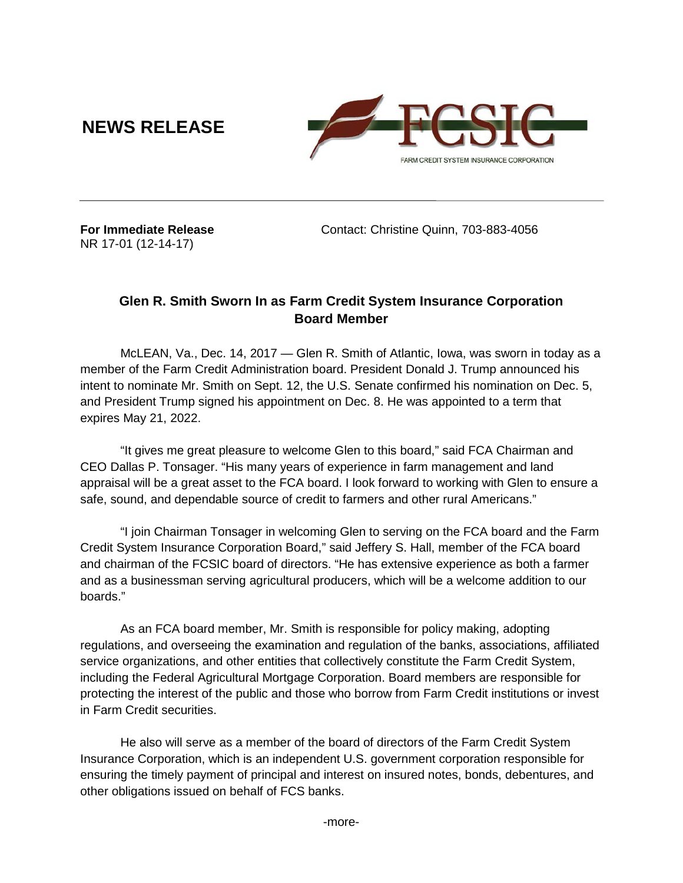**NEWS RELEASE**



NR 17-01 (12-14-17)

**For Immediate Release** Contact: Christine Quinn, 703-883-4056

## **Glen R. Smith Sworn In as Farm Credit System Insurance Corporation Board Member**

McLEAN, Va., Dec. 14, 2017 — Glen R. Smith of Atlantic, Iowa, was sworn in today as a member of the Farm Credit Administration board. President Donald J. Trump announced his intent to nominate Mr. Smith on Sept. 12, the U.S. Senate confirmed his nomination on Dec. 5, and President Trump signed his appointment on Dec. 8. He was appointed to a term that expires May 21, 2022.

"It gives me great pleasure to welcome Glen to this board," said FCA Chairman and CEO Dallas P. Tonsager. "His many years of experience in farm management and land appraisal will be a great asset to the FCA board. I look forward to working with Glen to ensure a safe, sound, and dependable source of credit to farmers and other rural Americans."

"I join Chairman Tonsager in welcoming Glen to serving on the FCA board and the Farm Credit System Insurance Corporation Board," said Jeffery S. Hall, member of the FCA board and chairman of the FCSIC board of directors. "He has extensive experience as both a farmer and as a businessman serving agricultural producers, which will be a welcome addition to our boards."

As an FCA board member, Mr. Smith is responsible for policy making, adopting regulations, and overseeing the examination and regulation of the banks, associations, affiliated service organizations, and other entities that collectively constitute the Farm Credit System, including the Federal Agricultural Mortgage Corporation. Board members are responsible for protecting the interest of the public and those who borrow from Farm Credit institutions or invest in Farm Credit securities.

He also will serve as a member of the board of directors of the Farm Credit System Insurance Corporation, which is an independent U.S. government corporation responsible for ensuring the timely payment of principal and interest on insured notes, bonds, debentures, and other obligations issued on behalf of FCS banks.